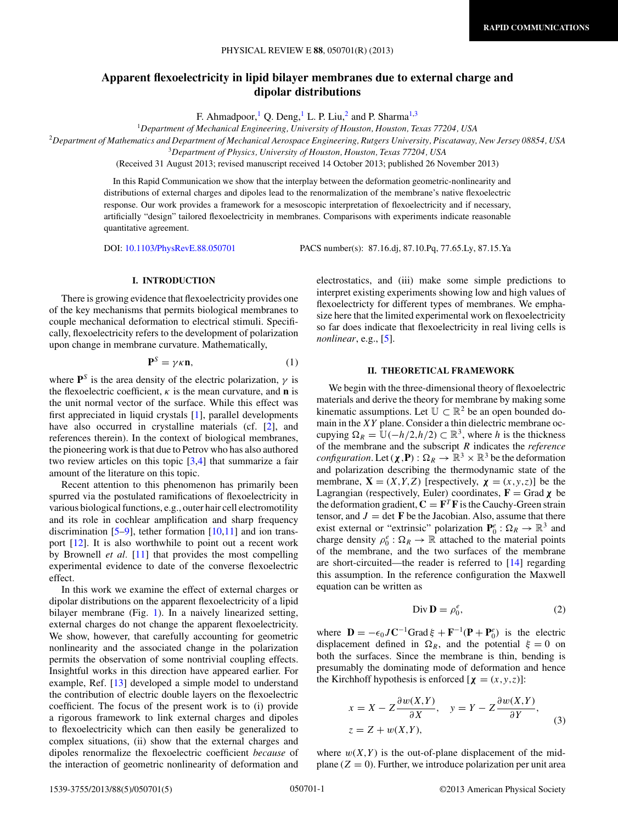# <span id="page-0-0"></span>**Apparent flexoelectricity in lipid bilayer membranes due to external charge and dipolar distributions**

F. Ahmadpoor,<sup>1</sup> Q. Deng,<sup>1</sup> L. P. Liu,<sup>2</sup> and P. Sharma<sup>1,3</sup>

<sup>1</sup>*Department of Mechanical Engineering, University of Houston, Houston, Texas 77204, USA*

<sup>2</sup>*Department of Mathematics and Department of Mechanical Aerospace Engineering, Rutgers University, Piscataway, New Jersey 08854, USA*

<sup>3</sup>*Department of Physics, University of Houston, Houston, Texas 77204, USA*

(Received 31 August 2013; revised manuscript received 14 October 2013; published 26 November 2013)

In this Rapid Communication we show that the interplay between the deformation geometric-nonlinearity and distributions of external charges and dipoles lead to the renormalization of the membrane's native flexoelectric response. Our work provides a framework for a mesoscopic interpretation of flexoelectricity and if necessary, artificially "design" tailored flexoelectricity in membranes. Comparisons with experiments indicate reasonable quantitative agreement.

DOI: [10.1103/PhysRevE.88.050701](http://dx.doi.org/10.1103/PhysRevE.88.050701) PACS number(s): 87*.*16*.*dj, 87*.*10*.*Pq, 77*.*65*.*Ly, 87*.*15*.*Ya

## **I. INTRODUCTION**

There is growing evidence that flexoelectricity provides one of the key mechanisms that permits biological membranes to couple mechanical deformation to electrical stimuli. Specifically, flexoelectricity refers to the development of polarization upon change in membrane curvature. Mathematically,

$$
\mathbf{P}^S = \gamma \kappa \mathbf{n},\tag{1}
$$

where  $P^S$  is the area density of the electric polarization,  $\gamma$  is the flexoelectric coefficient,  $\kappa$  is the mean curvature, and **n** is the unit normal vector of the surface. While this effect was first appreciated in liquid crystals [\[1\]](#page-4-0), parallel developments have also occurred in crystalline materials (cf. [\[2\]](#page-4-0), and references therein). In the context of biological membranes, the pioneering work is that due to Petrov who has also authored two review articles on this topic [\[3,4\]](#page-4-0) that summarize a fair amount of the literature on this topic.

Recent attention to this phenomenon has primarily been spurred via the postulated ramifications of flexoelectricity in various biological functions, e.g., outer hair cell electromotility and its role in cochlear amplification and sharp frequency discrimination  $[5-9]$ , tether formation  $[10,11]$  and ion transport [\[12\]](#page-4-0). It is also worthwhile to point out a recent work by Brownell *et al.* [\[11\]](#page-4-0) that provides the most compelling experimental evidence to date of the converse flexoelectric effect.

In this work we examine the effect of external charges or dipolar distributions on the apparent flexoelectricity of a lipid bilayer membrane (Fig. [1\)](#page-1-0). In a naively linearized setting, external charges do not change the apparent flexoelectricity. We show, however, that carefully accounting for geometric nonlinearity and the associated change in the polarization permits the observation of some nontrivial coupling effects. Insightful works in this direction have appeared earlier. For example, Ref. [\[13\]](#page-4-0) developed a simple model to understand the contribution of electric double layers on the flexoelectric coefficient. The focus of the present work is to (i) provide a rigorous framework to link external charges and dipoles to flexoelectricity which can then easily be generalized to complex situations, (ii) show that the external charges and dipoles renormalize the flexoelectric coefficient *because* of the interaction of geometric nonlinearity of deformation and

electrostatics, and (iii) make some simple predictions to interpret existing experiments showing low and high values of flexoelectricty for different types of membranes. We emphasize here that the limited experimental work on flexoelectricity so far does indicate that flexoelectricity in real living cells is *nonlinear*, e.g., [\[5\]](#page-4-0).

#### **II. THEORETICAL FRAMEWORK**

We begin with the three-dimensional theory of flexoelectric materials and derive the theory for membrane by making some kinematic assumptions. Let  $\mathbb{U} \subset \mathbb{R}^2$  be an open bounded domain in the *XY* plane. Consider a thin dielectric membrane occupying  $\Omega_R = \mathbb{U}(-h/2, h/2) \subset \mathbb{R}^3$ , where *h* is the thickness of the membrane and the subscript *R* indicates the *reference configuration*. Let  $(\chi, \mathbf{P}) : \Omega_R \to \mathbb{R}^3 \times \mathbb{R}^3$  be the deformation and polarization describing the thermodynamic state of the membrane,  $X = (X, Y, Z)$  [respectively,  $\chi = (x, y, z)$ ] be the Lagrangian (respectively, Euler) coordinates,  $\mathbf{F} = \text{Grad } \chi$  be the deformation gradient,  $C = F^T F$  is the Cauchy-Green strain tensor, and  $J = \det F$  be the Jacobian. Also, assume that there exist external or "extrinsic" polarization  $P_0^e : \Omega_R \to \mathbb{R}^3$  and charge density  $\rho_0^e : \Omega_R \to \mathbb{R}$  attached to the material points of the membrane, and the two surfaces of the membrane are short-circuited—the reader is referred to [\[14\]](#page-4-0) regarding this assumption. In the reference configuration the Maxwell equation can be written as

$$
\text{Div}\,\mathbf{D} = \rho_0^e,\tag{2}
$$

where  $\mathbf{D} = -\epsilon_0 J \mathbf{C}^{-1}$ Grad  $\xi + \mathbf{F}^{-1}(\mathbf{P} + \mathbf{P}_0^e)$  is the electric displacement defined in  $\Omega_R$ , and the potential  $\xi = 0$  on both the surfaces. Since the membrane is thin, bending is presumably the dominating mode of deformation and hence the Kirchhoff hypothesis is enforced  $[\chi = (x, y, z)]$ :

$$
x = X - Z \frac{\partial w(X, Y)}{\partial X}, \quad y = Y - Z \frac{\partial w(X, Y)}{\partial Y},
$$
  

$$
z = Z + w(X, Y),
$$
 (3)

where  $w(X, Y)$  is the out-of-plane displacement of the midplane  $(Z = 0)$ . Further, we introduce polarization per unit area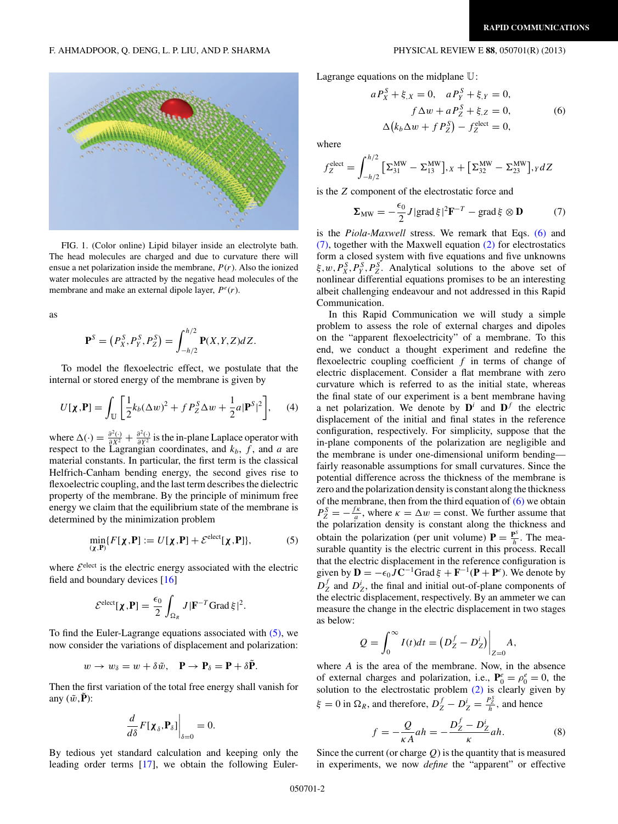<span id="page-1-0"></span>F. AHMADPOOR, Q. DENG, L. P. LIU, AND P. SHARMA PHYSICAL REVIEW E **88**, 050701(R) (2013)

FIG. 1. (Color online) Lipid bilayer inside an electrolyte bath. The head molecules are charged and due to curvature there will ensue a net polarization inside the membrane, *P*(*r*). Also the ionized water molecules are attracted by the negative head molecules of the membrane and make an external dipole layer,  $P^e(r)$ .

as

$$
\mathbf{P}^S = (P_X^S, P_Y^S, P_Z^S) = \int_{-h/2}^{h/2} \mathbf{P}(X, Y, Z) dZ.
$$

To model the flexoelectric effect, we postulate that the internal or stored energy of the membrane is given by

$$
U[\mathbf{\chi}, \mathbf{P}] = \int_{\mathbb{U}} \left[ \frac{1}{2} k_b (\Delta w)^2 + f P_Z^S \Delta w + \frac{1}{2} a |\mathbf{P}^S|^2 \right], \quad (4)
$$

where  $\Delta(\cdot) = \frac{\partial^2(\cdot)}{\partial X^2} + \frac{\partial^2(\cdot)}{\partial Y^2}$  is the in-plane Laplace operator with respect to the Lagrangian coordinates, and  $k_b$ , f, and a are material constants. In particular, the first term is the classical Helfrich-Canham bending energy, the second gives rise to flexoelectric coupling, and the last term describes the dielectric property of the membrane. By the principle of minimum free energy we claim that the equilibrium state of the membrane is determined by the minimization problem

$$
\min_{(\chi, \mathbf{P})} \{ F[\chi, \mathbf{P}] := U[\chi, \mathbf{P}] + \mathcal{E}^{\text{elect}}[\chi, \mathbf{P}] \},\tag{5}
$$

where  $\mathcal{E}^{\text{elect}}$  is the electric energy associated with the electric field and boundary devices [\[16\]](#page-4-0)

$$
\mathcal{E}^{\text{elect}}[\boldsymbol{\chi}, \mathbf{P}] = \frac{\epsilon_0}{2} \int_{\Omega_R} J |\mathbf{F}^{-T} \text{Grad} \,\xi|^2.
$$

To find the Euler-Lagrange equations associated with (5), we now consider the variations of displacement and polarization:

$$
w \to w_{\delta} = w + \delta \tilde{w}, \quad \mathbf{P} \to \mathbf{P}_{\delta} = \mathbf{P} + \delta \tilde{\mathbf{P}}.
$$

Then the first variation of the total free energy shall vanish for any  $(\tilde{w}, \tilde{P})$ :

$$
\left.\frac{d}{d\delta}F[\mathbf{\chi}_{\delta},\mathbf{P}_{\delta}]\right|_{\delta=0}=0.
$$

By tedious yet standard calculation and keeping only the leading order terms [\[17\]](#page-4-0), we obtain the following EulerLagrange equations on the midplane U:

$$
aP_X^S + \xi_X = 0, \quad aP_Y^S + \xi_Y = 0,\nf \Delta w + aP_Z^S + \xi_Z = 0,\Delta (k_b \Delta w + f P_Z^S) - f_Z^{\text{elect}} = 0,
$$
\n(6)

where

$$
f_Z^{\text{elect}} = \int_{-h/2}^{h/2} \left[ \Sigma_{31}^{\text{MW}} - \Sigma_{13}^{\text{MW}} \right],_{X} + \left[ \Sigma_{32}^{\text{MW}} - \Sigma_{23}^{\text{MW}} \right],_{Y} dZ
$$

is the *Z* component of the electrostatic force and

$$
\Sigma_{\text{MW}} = -\frac{\epsilon_0}{2} J |\text{grad}\,\xi|^2 \mathbf{F}^{-T} - \text{grad}\,\xi \otimes \mathbf{D} \tag{7}
$$

is the *Piola-Maxwell* stress. We remark that Eqs. (6) and (7), together with the Maxwell equation [\(2\)](#page-0-0) for electrostatics form a closed system with five equations and five unknowns  $\xi, w, P_X^S, P_Y^S, P_Z^S$ . Analytical solutions to the above set of nonlinear differential equations promises to be an interesting albeit challenging endeavour and not addressed in this Rapid Communication.

In this Rapid Communication we will study a simple problem to assess the role of external charges and dipoles on the "apparent flexoelectricity" of a membrane. To this end, we conduct a thought experiment and redefine the flexoelectric coupling coefficient *f* in terms of change of electric displacement. Consider a flat membrane with zero curvature which is referred to as the initial state, whereas the final state of our experiment is a bent membrane having a net polarization. We denote by  $\mathbf{D}^i$  and  $\mathbf{D}^f$  the electric displacement of the initial and final states in the reference configuration, respectively. For simplicity, suppose that the in-plane components of the polarization are negligible and the membrane is under one-dimensional uniform bending fairly reasonable assumptions for small curvatures. Since the potential difference across the thickness of the membrane is zero and the polarization density is constant along the thickness of the membrane, then from the third equation of  $(6)$  we obtain  $P_Z^S = -\frac{f\kappa}{a}$ , where  $\kappa = \Delta w = \text{const}$ . We further assume that the polarization density is constant along the thickness and obtain the polarization (per unit volume)  $P = \frac{P^s}{h}$ . The measurable quantity is the electric current in this process. Recall that the electric displacement in the reference configuration is given by  $\mathbf{D} = -\epsilon_0 J \mathbf{C}^{-1}$ Grad  $\xi + \mathbf{F}^{-1}(\mathbf{P} + \mathbf{P}^e)$ . We denote by  $D_Z^f$  and  $D_Z^i$ , the final and initial out-of-plane components of the electric displacement, respectively. By an ammeter we can measure the change in the electric displacement in two stages as below:

$$
Q = \int_0^\infty I(t)dt = \left(D_Z^f - D_Z^i\right)\Big|_{Z=0} A,
$$

where *A* is the area of the membrane. Now, in the absence of external charges and polarization, i.e.,  $P_0^e = \rho_0^e = 0$ , the solution to the electrostatic problem [\(2\)](#page-0-0) is clearly given by *ξ* = 0 in  $\Omega_R$ , and therefore,  $D_Z^f - D_Z^i = \frac{P_Z^S}{h}$ , and hence

$$
f = -\frac{Q}{\kappa A}ah = -\frac{D_Z^f - D_Z^i}{\kappa}ah.
$$
 (8)

Since the current (or charge *Q*) is the quantity that is measured in experiments, we now *define* the "apparent" or effective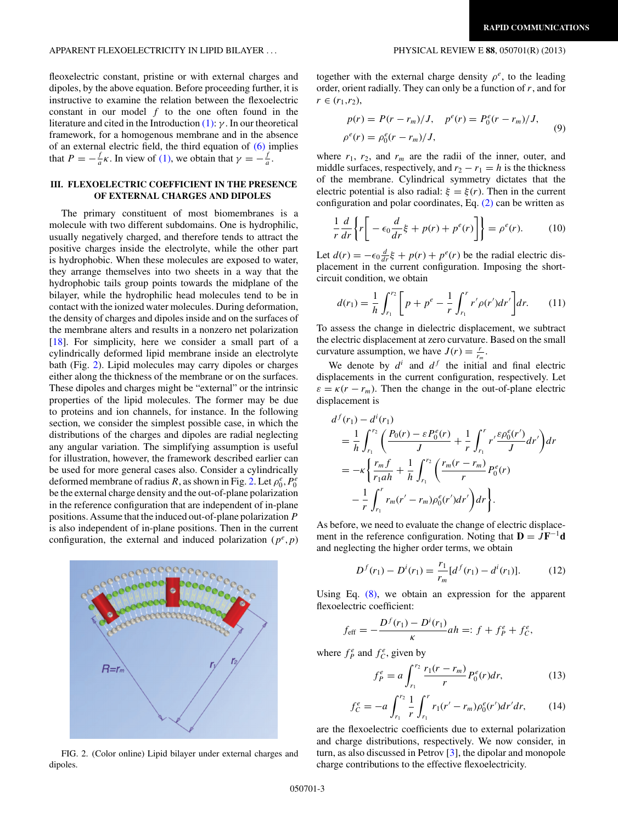## <span id="page-2-0"></span>APPARENT FLEXOELECTRICITY IN LIPID BILAYER *...* PHYSICAL REVIEW E **88**, 050701(R) (2013)

fleoxelectric constant, pristine or with external charges and dipoles, by the above equation. Before proceeding further, it is instructive to examine the relation between the flexoelectric constant in our model *f* to the one often found in the literature and cited in the Introduction [\(1\):](#page-0-0) *γ* . In our theoretical framework, for a homogenous membrane and in the absence of an external electric field, the third equation of  $(6)$  implies that  $P = -\frac{f}{a}\kappa$ . In view of [\(1\),](#page-0-0) we obtain that  $\gamma = -\frac{f}{a}$ .

## **III. FLEXOELECTRIC COEFFICIENT IN THE PRESENCE OF EXTERNAL CHARGES AND DIPOLES**

The primary constituent of most biomembranes is a molecule with two different subdomains. One is hydrophilic, usually negatively charged, and therefore tends to attract the positive charges inside the electrolyte, while the other part is hydrophobic. When these molecules are exposed to water, they arrange themselves into two sheets in a way that the hydrophobic tails group points towards the midplane of the bilayer, while the hydrophilic head molecules tend to be in contact with the ionized water molecules. During deformation, the density of charges and dipoles inside and on the surfaces of the membrane alters and results in a nonzero net polarization [\[18\]](#page-4-0). For simplicity, here we consider a small part of a cylindrically deformed lipid membrane inside an electrolyte bath (Fig. 2). Lipid molecules may carry dipoles or charges either along the thickness of the membrane or on the surfaces. These dipoles and charges might be "external" or the intrinsic properties of the lipid molecules. The former may be due to proteins and ion channels, for instance. In the following section, we consider the simplest possible case, in which the distributions of the charges and dipoles are radial neglecting any angular variation. The simplifying assumption is useful for illustration, however, the framework described earlier can be used for more general cases also. Consider a cylindrically deformed membrane of radius *R*, as shown in Fig. 2. Let  $\rho_0^e$ ,  $P_0^e$ be the external charge density and the out-of-plane polarization in the reference configuration that are independent of in-plane positions. Assume that the induced out-of-plane polarization *P* is also independent of in-plane positions. Then in the current configuration, the external and induced polarization  $(p^e, p)$ 



FIG. 2. (Color online) Lipid bilayer under external charges and dipoles.

together with the external charge density  $\rho^e$ , to the leading order, orient radially. They can only be a function of *r*, and for  $r \in (r_1, r_2),$ 

$$
p(r) = P(r - r_m)/J, \quad p^e(r) = P_0^e(r - r_m)/J, \n\rho^e(r) = \rho_0^e(r - r_m)/J,
$$
\n(9)

where  $r_1$ ,  $r_2$ , and  $r_m$  are the radii of the inner, outer, and middle surfaces, respectively, and  $r_2 - r_1 = h$  is the thickness of the membrane. Cylindrical symmetry dictates that the electric potential is also radial:  $\xi = \xi(r)$ . Then in the current configuration and polar coordinates, Eq. [\(2\)](#page-0-0) can be written as

$$
\frac{1}{r}\frac{d}{dr}\left\{r\bigg[-\epsilon_0\frac{d}{dr}\xi + p(r) + p^e(r)\bigg]\right\} = \rho^e(r). \tag{10}
$$

Let  $d(r) = -\epsilon_0 \frac{d}{dr} \xi + p(r) + p^e(r)$  be the radial electric displacement in the current configuration. Imposing the shortcircuit condition, we obtain

$$
d(r_1) = \frac{1}{h} \int_{r_1}^{r_2} \left[ p + p^e - \frac{1}{r} \int_{r_1}^r r' \rho(r') dr' \right] dr.
$$
 (11)

To assess the change in dielectric displacement, we subtract the electric displacement at zero curvature. Based on the small curvature assumption, we have  $J(r) = \frac{r}{r_m}$ .

We denote by  $d^i$  and  $d^f$  the initial and final electric displacements in the current configuration, respectively. Let  $\varepsilon = \kappa (r - r_m)$ . Then the change in the out-of-plane electric displacement is

$$
d^{f}(r_{1}) - d^{i}(r_{1})
$$
\n
$$
= \frac{1}{h} \int_{r_{1}}^{r_{2}} \left( \frac{P_{0}(r) - \varepsilon P_{0}^{e}(r)}{J} + \frac{1}{r} \int_{r_{1}}^{r} r' \frac{\varepsilon \rho_{0}^{e}(r')}{J} dr' \right) dr
$$
\n
$$
= -\kappa \left\{ \frac{r_{m} f}{r_{1} a h} + \frac{1}{h} \int_{r_{1}}^{r_{2}} \left( \frac{r_{m}(r - r_{m})}{r} P_{0}^{e}(r) - \frac{1}{r} \int_{r_{1}}^{r} r_{m}(r' - r_{m}) \rho_{0}^{e}(r') dr' \right) dr \right\}.
$$

As before, we need to evaluate the change of electric displacement in the reference configuration. Noting that  $D = JF^{-1}d$ and neglecting the higher order terms, we obtain

$$
D^{f}(r_1) - D^{i}(r_1) = \frac{r_1}{r_m} [d^{f}(r_1) - d^{i}(r_1)].
$$
 (12)

Using Eq. [\(8\),](#page-1-0) we obtain an expression for the apparent flexoelectric coefficient:

$$
f_{\text{eff}} = -\frac{D^f(r_1) - D^i(r_1)}{\kappa}ah =: f + f_P^e + f_C^e,
$$

where  $f_P^e$  and  $f_C^e$ , given by

*f e*

$$
f_P^e = a \int_{r_1}^{r_2} \frac{r_1(r - r_m)}{r} P_0^e(r) dr,
$$
 (13)

$$
f_C^e = -a \int_{r_1}^{r_2} \frac{1}{r} \int_{r_1}^r r_1(r' - r_m) \rho_0^e(r') dr' dr, \qquad (14)
$$

are the flexoelectric coefficients due to external polarization and charge distributions, respectively. We now consider, in turn, as also discussed in Petrov [\[3\]](#page-4-0), the dipolar and monopole charge contributions to the effective flexoelectricity.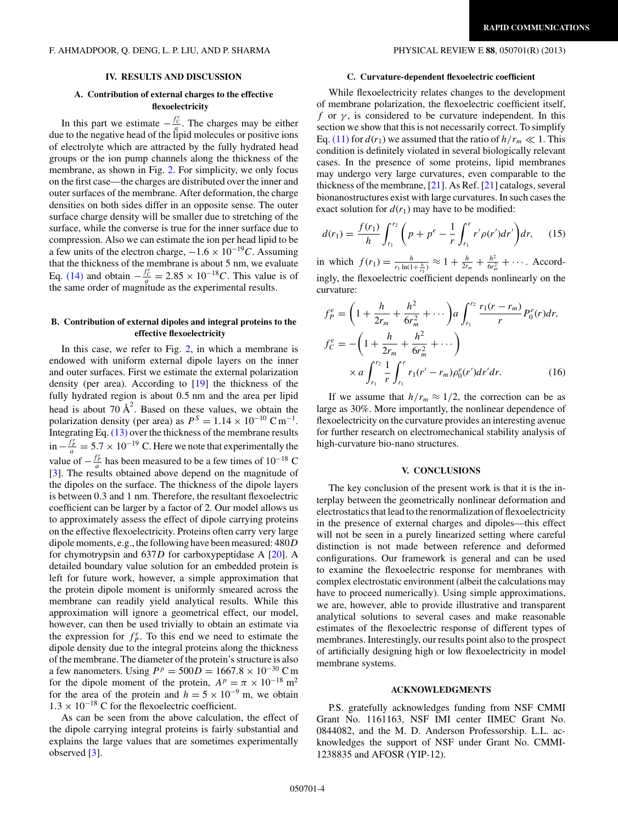### **IV. RESULTS AND DISCUSSION**

## **A. Contribution of external charges to the effective flexoelectricity**

In this part we estimate  $-\frac{f_c^e}{a}$ . The charges may be either due to the negative head of the lipid molecules or positive ions of electrolyte which are attracted by the fully hydrated head groups or the ion pump channels along the thickness of the membrane, as shown in Fig. [2.](#page-2-0) For simplicity, we only focus on the first case—the charges are distributed over the inner and outer surfaces of the membrane. After deformation, the charge densities on both sides differ in an opposite sense. The outer surface charge density will be smaller due to stretching of the surface, while the converse is true for the inner surface due to compression. Also we can estimate the ion per head lipid to be a few units of the electron charge,  $-1.6 \times 10^{-19}C$ . Assuming that the thickness of the membrane is about 5 nm, we evaluate Eq. [\(14\)](#page-2-0) and obtain  $-\frac{f_c^e}{a} = 2.85 \times 10^{-18} C$ . This value is of the same order of magnitude as the experimental results.

## **B. Contribution of external dipoles and integral proteins to the effective flexoelectricity**

In this case, we refer to Fig.  $2$ , in which a membrane is endowed with uniform external dipole layers on the inner and outer surfaces. First we estimate the external polarization density (per area). According to [\[19\]](#page-4-0) the thickness of the fully hydrated region is about 0*.*5 nm and the area per lipid head is about 70  $\AA^2$ . Based on these values, we obtain the polarization density (per area) as  $P^{S} = 1.14 \times 10^{-10} \text{ C m}^{-1}$ . Integrating Eq. [\(13\)](#page-2-0) over the thickness of the membrane results  $\sin \left( -\frac{f_p^2}{a} \right) = 5.7 \times 10^{-19}$  C. Here we note that experimentally the value of  $-\frac{f_p^e}{a}$  has been measured to be a few times of 10<sup>−18</sup> C [\[3\]](#page-4-0). The results obtained above depend on the magnitude of the dipoles on the surface. The thickness of the dipole layers is between 0*.*3 and 1 nm. Therefore, the resultant flexoelectric coefficient can be larger by a factor of 2. Our model allows us to approximately assess the effect of dipole carrying proteins on the effective flexoelectricity. Proteins often carry very large dipole moments, e.g., the following have been measured: 480*D* for chymotrypsin and 637*D* for carboxypeptidase A [\[20\]](#page-4-0). A detailed boundary value solution for an embedded protein is left for future work, however, a simple approximation that the protein dipole moment is uniformly smeared across the membrane can readily yield analytical results. While this approximation will ignore a geometrical effect, our model, however, can then be used trivially to obtain an estimate via the expression for  $f_P^e$ . To this end we need to estimate the dipole density due to the integral proteins along the thickness of the membrane. The diameter of the protein's structure is also a few nanometers. Using  $P^p = 500D = 1667.8 \times 10^{-30}$  C m for the dipole moment of the protein,  $A^p = \pi \times 10^{-18}$  m<sup>2</sup> for the area of the protein and  $h = 5 \times 10^{-9}$  m, we obtain  $1.3 \times 10^{-18}$  C for the flexoelectric coefficient.

As can be seen from the above calculation, the effect of the dipole carrying integral proteins is fairly substantial and explains the large values that are sometimes experimentally observed [\[3\]](#page-4-0).

#### **C. Curvature-dependent flexoelectric coefficient**

While flexoelectricity relates changes to the development of membrane polarization, the flexoelectric coefficient itself, *f* or  $\gamma$ , is considered to be curvature independent. In this section we show that this is not necessarily correct. To simplify Eq. [\(11\)](#page-2-0) for  $d(r_1)$  we assumed that the ratio of  $h/r_m \ll 1$ . This condition is definitely violated in several biologically relevant cases. In the presence of some proteins, lipid membranes may undergo very large curvatures, even comparable to the thickness of the membrane,  $[21]$ . As Ref.  $[21]$  catalogs, several bionanostructures exist with large curvatures. In such cases the exact solution for  $d(r_1)$  may have to be modified:

$$
d(r_1) = \frac{f(r_1)}{h} \int_{r_1}^{r_2} \left( p + p^e - \frac{1}{r} \int_{r_1}^r r' \rho(r') dr' \right) dr, \quad (15)
$$

in which  $f(r_1) = \frac{h}{r_1 \ln(1+\frac{h}{r_1})} \approx 1 + \frac{h}{2r_m} + \frac{h^2}{6r_m^2} + \cdots$ . Accordingly, the flexoelectric coefficient depends nonlinearly on the curvature:

$$
f_P^e = \left(1 + \frac{h}{2r_m} + \frac{h^2}{6r_m^2} + \cdots \right) a \int_{r_1}^{r_2} \frac{r_1(r - r_m)}{r} P_0^e(r) dr,
$$
  

$$
f_C^e = -\left(1 + \frac{h}{2r_m} + \frac{h^2}{6r_m^2} + \cdots \right)
$$
  

$$
\times a \int_{r_1}^{r_2} \frac{1}{r} \int_{r_1}^r r_1(r' - r_m) \rho_0^e(r') dr' dr.
$$
 (16)

If we assume that  $h/r_m \approx 1/2$ , the correction can be as large as 30%. More importantly, the nonlinear dependence of flexoelectricity on the curvature provides an interesting avenue for further research on electromechanical stability analysis of high-curvature bio-nano structures.

#### **V. CONCLUSIONS**

The key conclusion of the present work is that it is the interplay between the geometrically nonlinear deformation and electrostatics that lead to the renormalization of flexoelectricity in the presence of external charges and dipoles—this effect will not be seen in a purely linearized setting where careful distinction is not made between reference and deformed configurations. Our framework is general and can be used to examine the flexoelectric response for membranes with complex electrostatic environment (albeit the calculations may have to proceed numerically). Using simple approximations, we are, however, able to provide illustrative and transparent analytical solutions to several cases and make reasonable estimates of the flexoelectric response of different types of membranes. Interestingly, our results point also to the prospect of artificially designing high or low flexoelectricity in model membrane systems.

#### **ACKNOWLEDGMENTS**

P.S. gratefully acknowledges funding from NSF CMMI Grant No. 1161163, NSF IMI center IIMEC Grant No. 0844082, and the M. D. Anderson Professorship. L.L. acknowledges the support of NSF under Grant No. CMMI-1238835 and AFOSR (YIP-12).